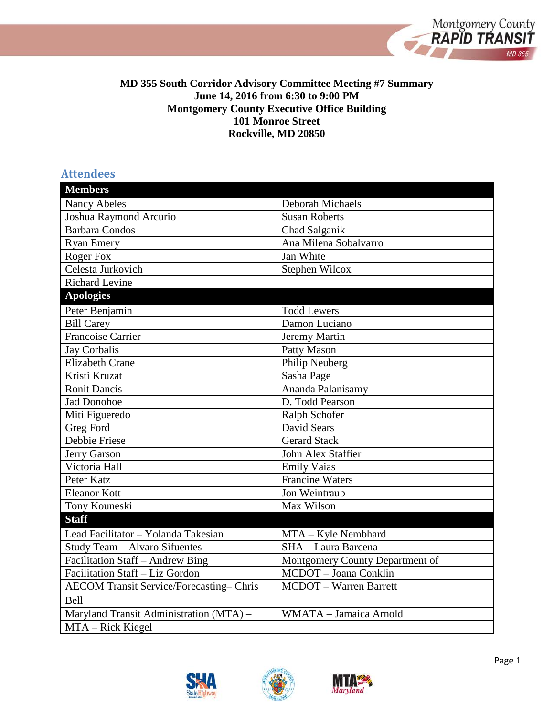

#### **MD 355 South Corridor Advisory Committee Meeting #7 Summary June 14, 2016 from 6:30 to 9:00 PM Montgomery County Executive Office Building 101 Monroe Street Rockville, MD 20850**

## **Attendees**

| <b>Members</b>                                 |                                 |
|------------------------------------------------|---------------------------------|
| <b>Nancy Abeles</b>                            | Deborah Michaels                |
| Joshua Raymond Arcurio                         | <b>Susan Roberts</b>            |
| <b>Barbara Condos</b>                          | Chad Salganik                   |
| <b>Ryan Emery</b>                              | Ana Milena Sobalvarro           |
| Roger Fox                                      | Jan White                       |
| Celesta Jurkovich                              | Stephen Wilcox                  |
| <b>Richard Levine</b>                          |                                 |
| <b>Apologies</b>                               |                                 |
| Peter Benjamin                                 | <b>Todd Lewers</b>              |
| <b>Bill Carey</b>                              | Damon Luciano                   |
| <b>Francoise Carrier</b>                       | Jeremy Martin                   |
| <b>Jay Corbalis</b>                            | Patty Mason                     |
| <b>Elizabeth Crane</b>                         | Philip Neuberg                  |
| Kristi Kruzat                                  | Sasha Page                      |
| <b>Ronit Dancis</b>                            | Ananda Palanisamy               |
| <b>Jad Donohoe</b>                             | D. Todd Pearson                 |
| Miti Figueredo                                 | Ralph Schofer                   |
| Greg Ford                                      | David Sears                     |
| <b>Debbie Friese</b>                           | <b>Gerard Stack</b>             |
| Jerry Garson                                   | John Alex Staffier              |
| Victoria Hall                                  | <b>Emily Vaias</b>              |
| Peter Katz                                     | <b>Francine Waters</b>          |
| <b>Eleanor Kott</b>                            | Jon Weintraub                   |
| Tony Kouneski                                  | Max Wilson                      |
| <b>Staff</b>                                   |                                 |
| Lead Facilitator - Yolanda Takesian            | MTA - Kyle Nembhard             |
| Study Team - Alvaro Sifuentes                  | SHA - Laura Barcena             |
| Facilitation Staff - Andrew Bing               | Montgomery County Department of |
| Facilitation Staff - Liz Gordon                | MCDOT - Joana Conklin           |
| <b>AECOM Transit Service/Forecasting-Chris</b> | <b>MCDOT</b> - Warren Barrett   |
| <b>Bell</b>                                    |                                 |
| Maryland Transit Administration (MTA) -        | WMATA - Jamaica Arnold          |
| MTA - Rick Kiegel                              |                                 |





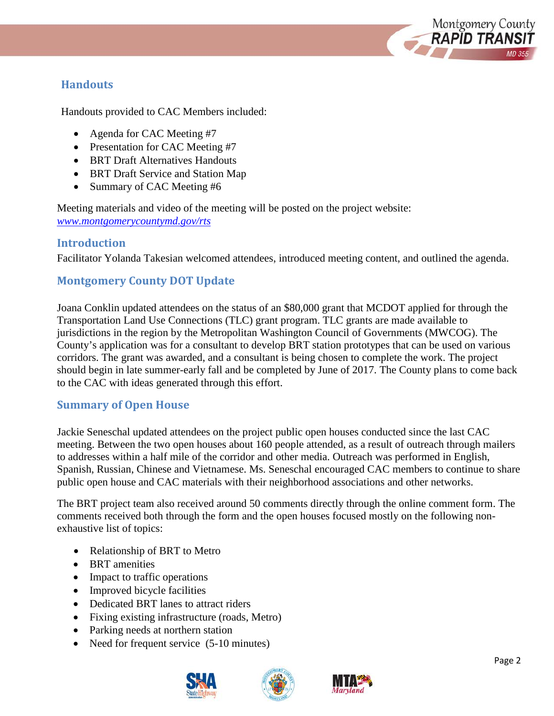

## **Handouts**

Handouts provided to CAC Members included:

- Agenda for CAC Meeting #7
- Presentation for CAC Meeting #7
- BRT Draft Alternatives Handouts
- BRT Draft Service and Station Map
- Summary of CAC Meeting #6

Meeting materials and video of the meeting will be posted on the project website: *[www.montgomerycountymd.gov/rts](http://www.montgomerycountymd.gov/rts)*

## **Introduction**

Facilitator Yolanda Takesian welcomed attendees, introduced meeting content, and outlined the agenda.

## **Montgomery County DOT Update**

Joana Conklin updated attendees on the status of an \$80,000 grant that MCDOT applied for through the Transportation Land Use Connections (TLC) grant program. TLC grants are made available to jurisdictions in the region by the Metropolitan Washington Council of Governments (MWCOG). The County's application was for a consultant to develop BRT station prototypes that can be used on various corridors. The grant was awarded, and a consultant is being chosen to complete the work. The project should begin in late summer-early fall and be completed by June of 2017. The County plans to come back to the CAC with ideas generated through this effort.

## **Summary of Open House**

Jackie Seneschal updated attendees on the project public open houses conducted since the last CAC meeting. Between the two open houses about 160 people attended, as a result of outreach through mailers to addresses within a half mile of the corridor and other media. Outreach was performed in English, Spanish, Russian, Chinese and Vietnamese. Ms. Seneschal encouraged CAC members to continue to share public open house and CAC materials with their neighborhood associations and other networks.

The BRT project team also received around 50 comments directly through the online comment form. The comments received both through the form and the open houses focused mostly on the following nonexhaustive list of topics:

- Relationship of BRT to Metro
- BRT amenities
- Impact to traffic operations
- Improved bicycle facilities
- Dedicated BRT lanes to attract riders
- Fixing existing infrastructure (roads, Metro)
- Parking needs at northern station
- Need for frequent service (5-10 minutes)



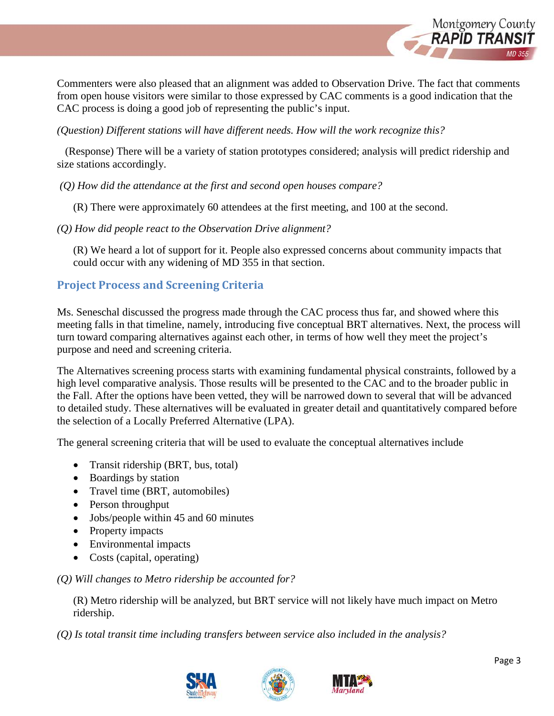

Commenters were also pleased that an alignment was added to Observation Drive. The fact that comments from open house visitors were similar to those expressed by CAC comments is a good indication that the CAC process is doing a good job of representing the public's input.

*(Question) Different stations will have different needs. How will the work recognize this?*

(Response) There will be a variety of station prototypes considered; analysis will predict ridership and size stations accordingly.

*(Q) How did the attendance at the first and second open houses compare?* 

(R) There were approximately 60 attendees at the first meeting, and 100 at the second.

*(Q) How did people react to the Observation Drive alignment?*

(R) We heard a lot of support for it. People also expressed concerns about community impacts that could occur with any widening of MD 355 in that section.

# **Project Process and Screening Criteria**

Ms. Seneschal discussed the progress made through the CAC process thus far, and showed where this meeting falls in that timeline, namely, introducing five conceptual BRT alternatives. Next, the process will turn toward comparing alternatives against each other, in terms of how well they meet the project's purpose and need and screening criteria.

The Alternatives screening process starts with examining fundamental physical constraints, followed by a high level comparative analysis. Those results will be presented to the CAC and to the broader public in the Fall. After the options have been vetted, they will be narrowed down to several that will be advanced to detailed study. These alternatives will be evaluated in greater detail and quantitatively compared before the selection of a Locally Preferred Alternative (LPA).

The general screening criteria that will be used to evaluate the conceptual alternatives include

- Transit ridership (BRT, bus, total)
- Boardings by station
- Travel time (BRT, automobiles)
- Person throughput
- Jobs/people within 45 and 60 minutes
- Property impacts
- Environmental impacts
- Costs (capital, operating)

*(Q) Will changes to Metro ridership be accounted for?*

(R) Metro ridership will be analyzed, but BRT service will not likely have much impact on Metro ridership.

*(Q) Is total transit time including transfers between service also included in the analysis?*





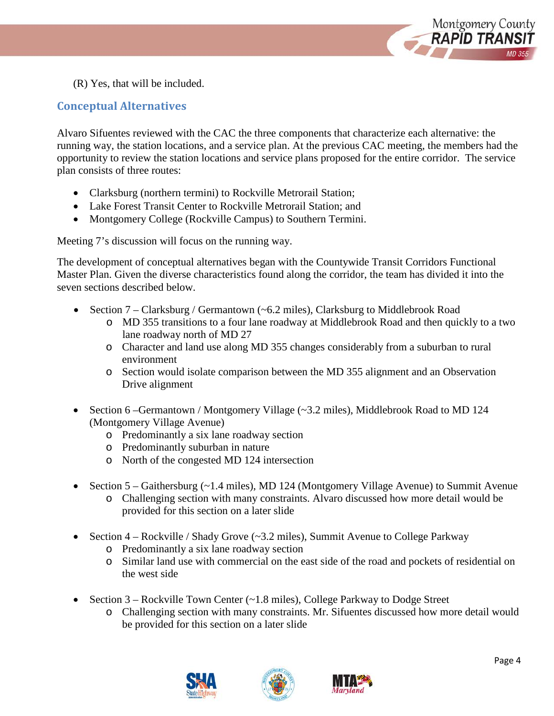

(R) Yes, that will be included.

## **Conceptual Alternatives**

Alvaro Sifuentes reviewed with the CAC the three components that characterize each alternative: the running way, the station locations, and a service plan. At the previous CAC meeting, the members had the opportunity to review the station locations and service plans proposed for the entire corridor. The service plan consists of three routes:

- Clarksburg (northern termini) to Rockville Metrorail Station;
- Lake Forest Transit Center to Rockville Metrorail Station; and
- Montgomery College (Rockville Campus) to Southern Termini.

Meeting 7's discussion will focus on the running way.

The development of conceptual alternatives began with the Countywide Transit Corridors Functional Master Plan. Given the diverse characteristics found along the corridor, the team has divided it into the seven sections described below.

- Section 7 Clarksburg / Germantown (~6.2 miles), Clarksburg to Middlebrook Road
	- o MD 355 transitions to a four lane roadway at Middlebrook Road and then quickly to a two lane roadway north of MD 27
	- o Character and land use along MD 355 changes considerably from a suburban to rural environment
	- o Section would isolate comparison between the MD 355 alignment and an Observation Drive alignment
- Section 6 –Germantown / Montgomery Village (~3.2 miles), Middlebrook Road to MD 124 (Montgomery Village Avenue)
	- o Predominantly a six lane roadway section
	- o Predominantly suburban in nature
	- o North of the congested MD 124 intersection
- Section 5 Gaithersburg (~1.4 miles), MD 124 (Montgomery Village Avenue) to Summit Avenue
	- o Challenging section with many constraints. Alvaro discussed how more detail would be provided for this section on a later slide
- Section 4 Rockville / Shady Grove (~3.2 miles), Summit Avenue to College Parkway
	- o Predominantly a six lane roadway section
	- o Similar land use with commercial on the east side of the road and pockets of residential on the west side
- Section 3 Rockville Town Center (~1.8 miles), College Parkway to Dodge Street
	- o Challenging section with many constraints. Mr. Sifuentes discussed how more detail would be provided for this section on a later slide





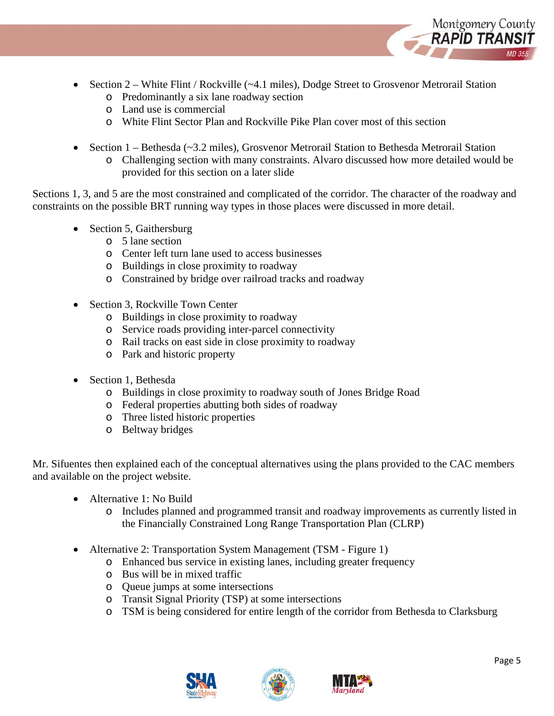

- Section 2 White Flint / Rockville (~4.1 miles), Dodge Street to Grosvenor Metrorail Station
	- o Predominantly a six lane roadway section
	- o Land use is commercial
	- o White Flint Sector Plan and Rockville Pike Plan cover most of this section
- Section  $1 \text{Bethesda}$  ( $\sim$ 3.2 miles), Grosvenor Metrorail Station to Bethesda Metrorail Station o Challenging section with many constraints. Alvaro discussed how more detailed would be provided for this section on a later slide

Sections 1, 3, and 5 are the most constrained and complicated of the corridor. The character of the roadway and constraints on the possible BRT running way types in those places were discussed in more detail.

- Section 5, Gaithersburg
	- o 5 lane section
	- o Center left turn lane used to access businesses
	- o Buildings in close proximity to roadway
	- o Constrained by bridge over railroad tracks and roadway
- Section 3, Rockville Town Center
	- o Buildings in close proximity to roadway
	- o Service roads providing inter-parcel connectivity
	- o Rail tracks on east side in close proximity to roadway
	- o Park and historic property
- Section 1, Bethesda
	- o Buildings in close proximity to roadway south of Jones Bridge Road
	- o Federal properties abutting both sides of roadway
	- o Three listed historic properties
	- o Beltway bridges

Mr. Sifuentes then explained each of the conceptual alternatives using the plans provided to the CAC members and available on the project website.

- Alternative 1: No Build
	- o Includes planned and programmed transit and roadway improvements as currently listed in the Financially Constrained Long Range Transportation Plan (CLRP)
- Alternative 2: Transportation System Management (TSM Figure 1)
	- o Enhanced bus service in existing lanes, including greater frequency
	- o Bus will be in mixed traffic
	- o Queue jumps at some intersections
	- o Transit Signal Priority (TSP) at some intersections
	- o TSM is being considered for entire length of the corridor from Bethesda to Clarksburg





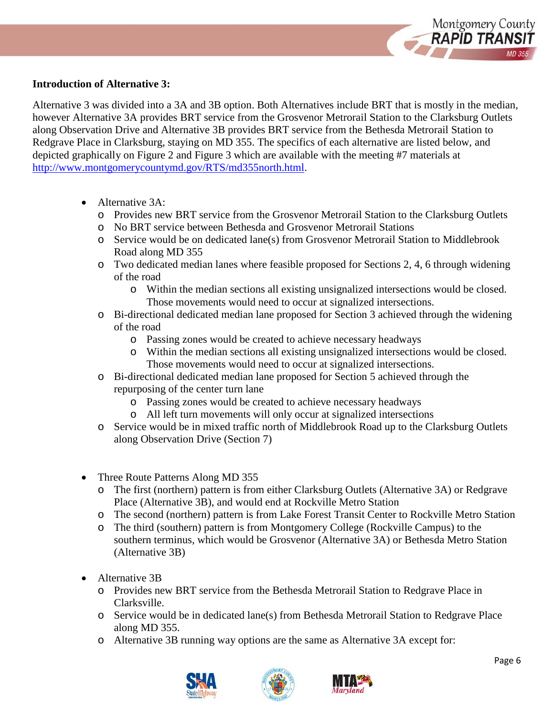

#### **Introduction of Alternative 3:**

Alternative 3 was divided into a 3A and 3B option. Both Alternatives include BRT that is mostly in the median, however Alternative 3A provides BRT service from the Grosvenor Metrorail Station to the Clarksburg Outlets along Observation Drive and Alternative 3B provides BRT service from the Bethesda Metrorail Station to Redgrave Place in Clarksburg, staying on MD 355. The specifics of each alternative are listed below, and depicted graphically on Figure 2 and Figure 3 which are available with the meeting #7 materials at [http://www.montgomerycountymd.gov/RTS/md355north.html.](http://www.montgomerycountymd.gov/RTS/md355north.html)

- Alternative 3A:
	- o Provides new BRT service from the Grosvenor Metrorail Station to the Clarksburg Outlets
	- o No BRT service between Bethesda and Grosvenor Metrorail Stations
	- o Service would be on dedicated lane(s) from Grosvenor Metrorail Station to Middlebrook Road along MD 355
	- o Two dedicated median lanes where feasible proposed for Sections 2, 4, 6 through widening of the road
		- o Within the median sections all existing unsignalized intersections would be closed. Those movements would need to occur at signalized intersections.
	- o Bi-directional dedicated median lane proposed for Section 3 achieved through the widening of the road
		- o Passing zones would be created to achieve necessary headways
		- o Within the median sections all existing unsignalized intersections would be closed. Those movements would need to occur at signalized intersections.
	- o Bi-directional dedicated median lane proposed for Section 5 achieved through the repurposing of the center turn lane
		- o Passing zones would be created to achieve necessary headways
		- o All left turn movements will only occur at signalized intersections
	- o Service would be in mixed traffic north of Middlebrook Road up to the Clarksburg Outlets along Observation Drive (Section 7)
- Three Route Patterns Along MD 355
	- o The first (northern) pattern is from either Clarksburg Outlets (Alternative 3A) or Redgrave Place (Alternative 3B), and would end at Rockville Metro Station
	- o The second (northern) pattern is from Lake Forest Transit Center to Rockville Metro Station
	- o The third (southern) pattern is from Montgomery College (Rockville Campus) to the southern terminus, which would be Grosvenor (Alternative 3A) or Bethesda Metro Station (Alternative 3B)
- Alternative 3B
	- o Provides new BRT service from the Bethesda Metrorail Station to Redgrave Place in Clarksville.
	- o Service would be in dedicated lane(s) from Bethesda Metrorail Station to Redgrave Place along MD 355.
	- o Alternative 3B running way options are the same as Alternative 3A except for:



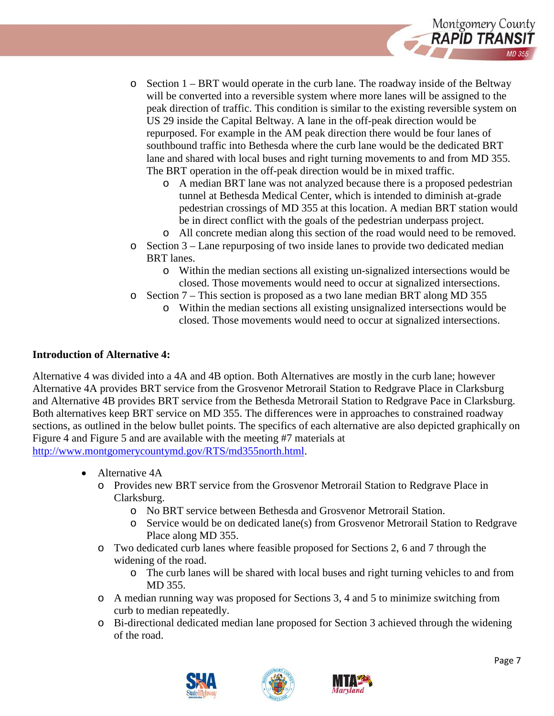

- $\circ$  Section 1 BRT would operate in the curb lane. The roadway inside of the Beltway will be converted into a reversible system where more lanes will be assigned to the peak direction of traffic. This condition is similar to the existing reversible system on US 29 inside the Capital Beltway. A lane in the off-peak direction would be repurposed. For example in the AM peak direction there would be four lanes of southbound traffic into Bethesda where the curb lane would be the dedicated BRT lane and shared with local buses and right turning movements to and from MD 355. The BRT operation in the off-peak direction would be in mixed traffic.
	- o A median BRT lane was not analyzed because there is a proposed pedestrian tunnel at Bethesda Medical Center, which is intended to diminish at-grade pedestrian crossings of MD 355 at this location. A median BRT station would be in direct conflict with the goals of the pedestrian underpass project.
	- o All concrete median along this section of the road would need to be removed.
- o Section 3 Lane repurposing of two inside lanes to provide two dedicated median BRT lanes.
	- o Within the median sections all existing un-signalized intersections would be closed. Those movements would need to occur at signalized intersections.
- o Section 7 This section is proposed as a two lane median BRT along MD 355
	- o Within the median sections all existing unsignalized intersections would be closed. Those movements would need to occur at signalized intersections.

#### **Introduction of Alternative 4:**

Alternative 4 was divided into a 4A and 4B option. Both Alternatives are mostly in the curb lane; however Alternative 4A provides BRT service from the Grosvenor Metrorail Station to Redgrave Place in Clarksburg and Alternative 4B provides BRT service from the Bethesda Metrorail Station to Redgrave Pace in Clarksburg. Both alternatives keep BRT service on MD 355. The differences were in approaches to constrained roadway sections, as outlined in the below bullet points. The specifics of each alternative are also depicted graphically on Figure 4 and Figure 5 and are available with the meeting #7 materials at [http://www.montgomerycountymd.gov/RTS/md355north.html.](http://www.montgomerycountymd.gov/RTS/md355north.html)

- Alternative 4A
	- o Provides new BRT service from the Grosvenor Metrorail Station to Redgrave Place in Clarksburg.
		- o No BRT service between Bethesda and Grosvenor Metrorail Station.
		- o Service would be on dedicated lane(s) from Grosvenor Metrorail Station to Redgrave Place along MD 355.
	- o Two dedicated curb lanes where feasible proposed for Sections 2, 6 and 7 through the widening of the road.
		- o The curb lanes will be shared with local buses and right turning vehicles to and from MD 355.
	- o A median running way was proposed for Sections 3, 4 and 5 to minimize switching from curb to median repeatedly.
	- o Bi-directional dedicated median lane proposed for Section 3 achieved through the widening of the road.



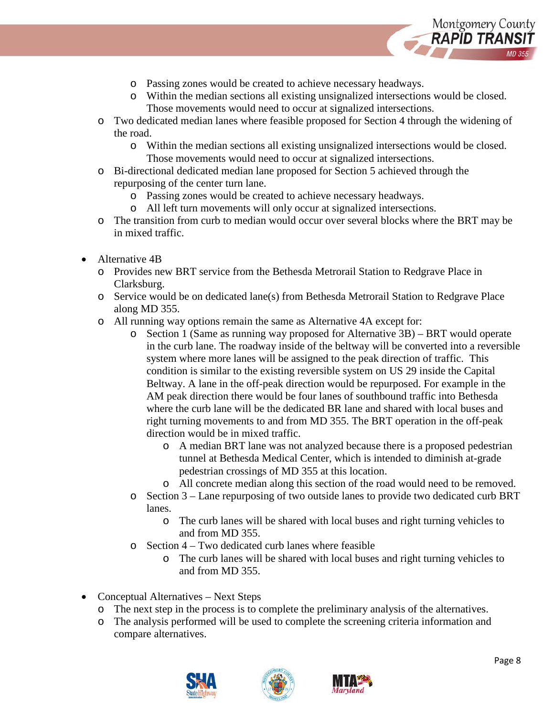

- o Passing zones would be created to achieve necessary headways.
- o Within the median sections all existing unsignalized intersections would be closed. Those movements would need to occur at signalized intersections.
- o Two dedicated median lanes where feasible proposed for Section 4 through the widening of the road.
	- o Within the median sections all existing unsignalized intersections would be closed. Those movements would need to occur at signalized intersections.
- o Bi-directional dedicated median lane proposed for Section 5 achieved through the repurposing of the center turn lane.
	- o Passing zones would be created to achieve necessary headways.
	- o All left turn movements will only occur at signalized intersections.
- o The transition from curb to median would occur over several blocks where the BRT may be in mixed traffic.
- Alternative 4B
	- o Provides new BRT service from the Bethesda Metrorail Station to Redgrave Place in Clarksburg.
	- o Service would be on dedicated lane(s) from Bethesda Metrorail Station to Redgrave Place along MD 355.
	- o All running way options remain the same as Alternative 4A except for:
		- o Section 1 (Same as running way proposed for Alternative 3B) BRT would operate in the curb lane. The roadway inside of the beltway will be converted into a reversible system where more lanes will be assigned to the peak direction of traffic. This condition is similar to the existing reversible system on US 29 inside the Capital Beltway. A lane in the off-peak direction would be repurposed. For example in the AM peak direction there would be four lanes of southbound traffic into Bethesda where the curb lane will be the dedicated BR lane and shared with local buses and right turning movements to and from MD 355. The BRT operation in the off-peak direction would be in mixed traffic.
			- o A median BRT lane was not analyzed because there is a proposed pedestrian tunnel at Bethesda Medical Center, which is intended to diminish at-grade pedestrian crossings of MD 355 at this location.
			- o All concrete median along this section of the road would need to be removed.
		- o Section 3 Lane repurposing of two outside lanes to provide two dedicated curb BRT lanes.
			- o The curb lanes will be shared with local buses and right turning vehicles to and from MD 355.
		- o Section 4 Two dedicated curb lanes where feasible
			- o The curb lanes will be shared with local buses and right turning vehicles to and from MD 355.
- Conceptual Alternatives Next Steps
	- o The next step in the process is to complete the preliminary analysis of the alternatives.
	- o The analysis performed will be used to complete the screening criteria information and compare alternatives.





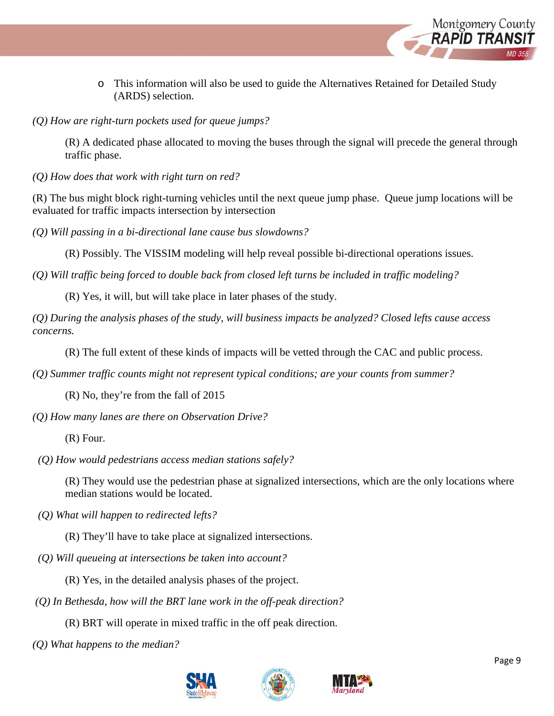

- o This information will also be used to guide the Alternatives Retained for Detailed Study (ARDS) selection.
- *(Q) How are right-turn pockets used for queue jumps?*

(R) A dedicated phase allocated to moving the buses through the signal will precede the general through traffic phase.

*(Q) How does that work with right turn on red?*

(R) The bus might block right-turning vehicles until the next queue jump phase. Queue jump locations will be evaluated for traffic impacts intersection by intersection

*(Q) Will passing in a bi-directional lane cause bus slowdowns?*

(R) Possibly. The VISSIM modeling will help reveal possible bi-directional operations issues.

*(Q) Will traffic being forced to double back from closed left turns be included in traffic modeling?* 

(R) Yes, it will, but will take place in later phases of the study.

*(Q) During the analysis phases of the study, will business impacts be analyzed? Closed lefts cause access concerns.* 

(R) The full extent of these kinds of impacts will be vetted through the CAC and public process.

*(Q) Summer traffic counts might not represent typical conditions; are your counts from summer?*

(R) No, they're from the fall of 2015

*(Q) How many lanes are there on Observation Drive?* 

(R) Four.

*(Q) How would pedestrians access median stations safely?*

(R) They would use the pedestrian phase at signalized intersections, which are the only locations where median stations would be located.

*(Q) What will happen to redirected lefts?*

(R) They'll have to take place at signalized intersections.

*(Q) Will queueing at intersections be taken into account?*

(R) Yes, in the detailed analysis phases of the project.

*(Q) In Bethesda, how will the BRT lane work in the off-peak direction?* 

(R) BRT will operate in mixed traffic in the off peak direction.

*(Q) What happens to the median?*





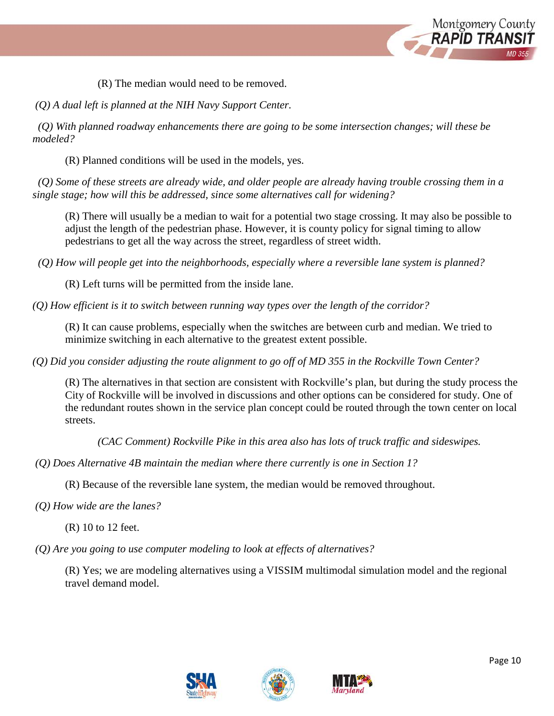

(R) The median would need to be removed.

*(Q) A dual left is planned at the NIH Navy Support Center.*

 *(Q) With planned roadway enhancements there are going to be some intersection changes; will these be modeled?*

(R) Planned conditions will be used in the models, yes.

 *(Q) Some of these streets are already wide, and older people are already having trouble crossing them in a single stage; how will this be addressed, since some alternatives call for widening?*

(R) There will usually be a median to wait for a potential two stage crossing. It may also be possible to adjust the length of the pedestrian phase. However, it is county policy for signal timing to allow pedestrians to get all the way across the street, regardless of street width.

*(Q) How will people get into the neighborhoods, especially where a reversible lane system is planned?*

(R) Left turns will be permitted from the inside lane.

*(Q) How efficient is it to switch between running way types over the length of the corridor?*

(R) It can cause problems, especially when the switches are between curb and median. We tried to minimize switching in each alternative to the greatest extent possible.

*(Q) Did you consider adjusting the route alignment to go off of MD 355 in the Rockville Town Center?*

(R) The alternatives in that section are consistent with Rockville's plan, but during the study process the City of Rockville will be involved in discussions and other options can be considered for study. One of the redundant routes shown in the service plan concept could be routed through the town center on local streets.

*(CAC Comment) Rockville Pike in this area also has lots of truck traffic and sideswipes.*

*(Q) Does Alternative 4B maintain the median where there currently is one in Section 1?* 

(R) Because of the reversible lane system, the median would be removed throughout.

*(Q) How wide are the lanes?*

(R) 10 to 12 feet.

*(Q) Are you going to use computer modeling to look at effects of alternatives?* 

(R) Yes; we are modeling alternatives using a VISSIM multimodal simulation model and the regional travel demand model.





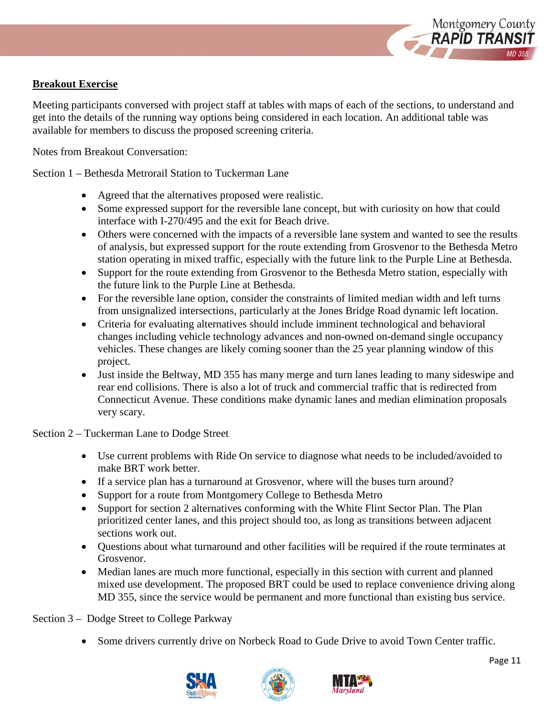

### **Breakout Exercise**

Meeting participants conversed with project staff at tables with maps of each of the sections, to understand and get into the details of the running way options being considered in each location. An additional table was available for members to discuss the proposed screening criteria.

Notes from Breakout Conversation:

Section 1 – Bethesda Metrorail Station to Tuckerman Lane

- Agreed that the alternatives proposed were realistic.
- Some expressed support for the reversible lane concept, but with curiosity on how that could interface with I-270/495 and the exit for Beach drive.
- Others were concerned with the impacts of a reversible lane system and wanted to see the results of analysis, but expressed support for the route extending from Grosvenor to the Bethesda Metro station operating in mixed traffic, especially with the future link to the Purple Line at Bethesda.
- Support for the route extending from Grosvenor to the Bethesda Metro station, especially with the future link to the Purple Line at Bethesda.
- For the reversible lane option, consider the constraints of limited median width and left turns from unsignalized intersections, particularly at the Jones Bridge Road dynamic left location.
- Criteria for evaluating alternatives should include imminent technological and behavioral changes including vehicle technology advances and non-owned on-demand single occupancy vehicles. These changes are likely coming sooner than the 25 year planning window of this project.
- Just inside the Beltway, MD 355 has many merge and turn lanes leading to many sideswipe and rear end collisions. There is also a lot of truck and commercial traffic that is redirected from Connecticut Avenue. These conditions make dynamic lanes and median elimination proposals very scary.

Section 2 – Tuckerman Lane to Dodge Street

- Use current problems with Ride On service to diagnose what needs to be included/avoided to make BRT work better.
- If a service plan has a turnaround at Grosvenor, where will the buses turn around?
- Support for a route from Montgomery College to Bethesda Metro
- Support for section 2 alternatives conforming with the White Flint Sector Plan. The Plan prioritized center lanes, and this project should too, as long as transitions between adjacent sections work out.
- Questions about what turnaround and other facilities will be required if the route terminates at Grosvenor.
- Median lanes are much more functional, especially in this section with current and planned mixed use development. The proposed BRT could be used to replace convenience driving along MD 355, since the service would be permanent and more functional than existing bus service.

Section 3 – Dodge Street to College Parkway

• Some drivers currently drive on Norbeck Road to Gude Drive to avoid Town Center traffic.